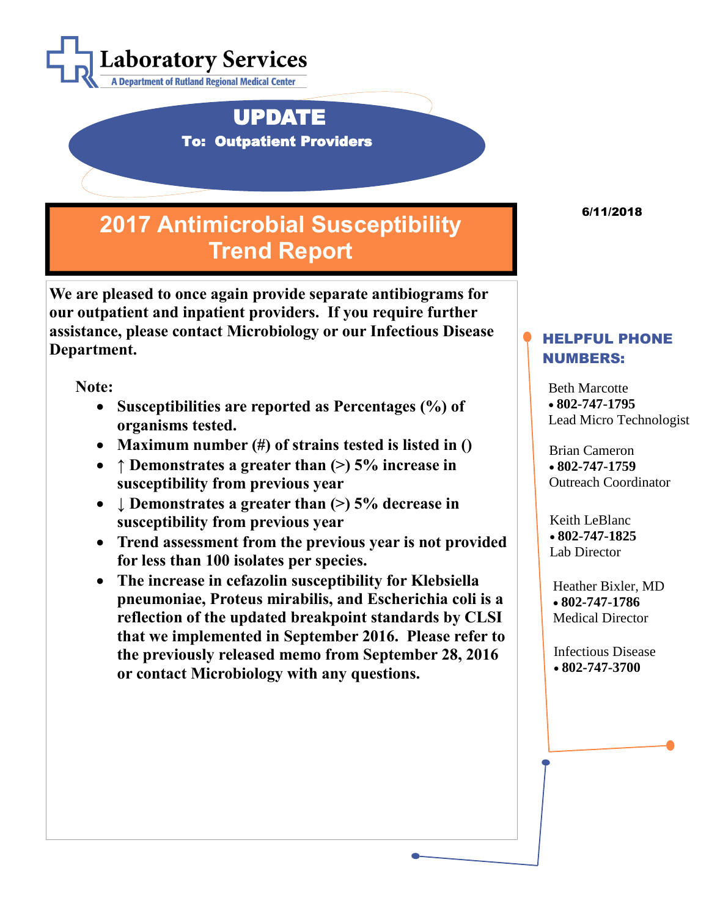

 UPDATE To: Outpatient Providers

## **2017 Antimicrobial Susceptibility Trend Report**

**We are pleased to once again provide separate antibiograms for our outpatient and inpatient providers. If you require further assistance, please contact Microbiology or our Infectious Disease Department.**

**Note:**

- **Susceptibilities are reported as Percentages (%) of organisms tested.**
- **Maximum number (#) of strains tested is listed in ()**
- **↑ Demonstrates a greater than (>) 5% increase in susceptibility from previous year**
- *L* Demonstrates a greater than  $(>)$  5% decrease in **susceptibility from previous year**
- **Trend assessment from the previous year is not provided for less than 100 isolates per species.**
- **The increase in cefazolin susceptibility for Klebsiella pneumoniae, Proteus mirabilis, and Escherichia coli is a reflection of the updated breakpoint standards by CLSI that we implemented in September 2016. Please refer to the previously released memo from September 28, 2016 or contact Microbiology with any questions.**

6/11/2018

## HELPFUL PHONE NUMBERS:

Beth Marcotte • **802-747-1795** Lead Micro Technologist

Brian Cameron • **802-747-1759** Outreach Coordinator

Keith LeBlanc • **802-747-1825** Lab Director

Heather Bixler, MD • **802-747-1786** Medical Director

Infectious Disease • **802-747-3700**